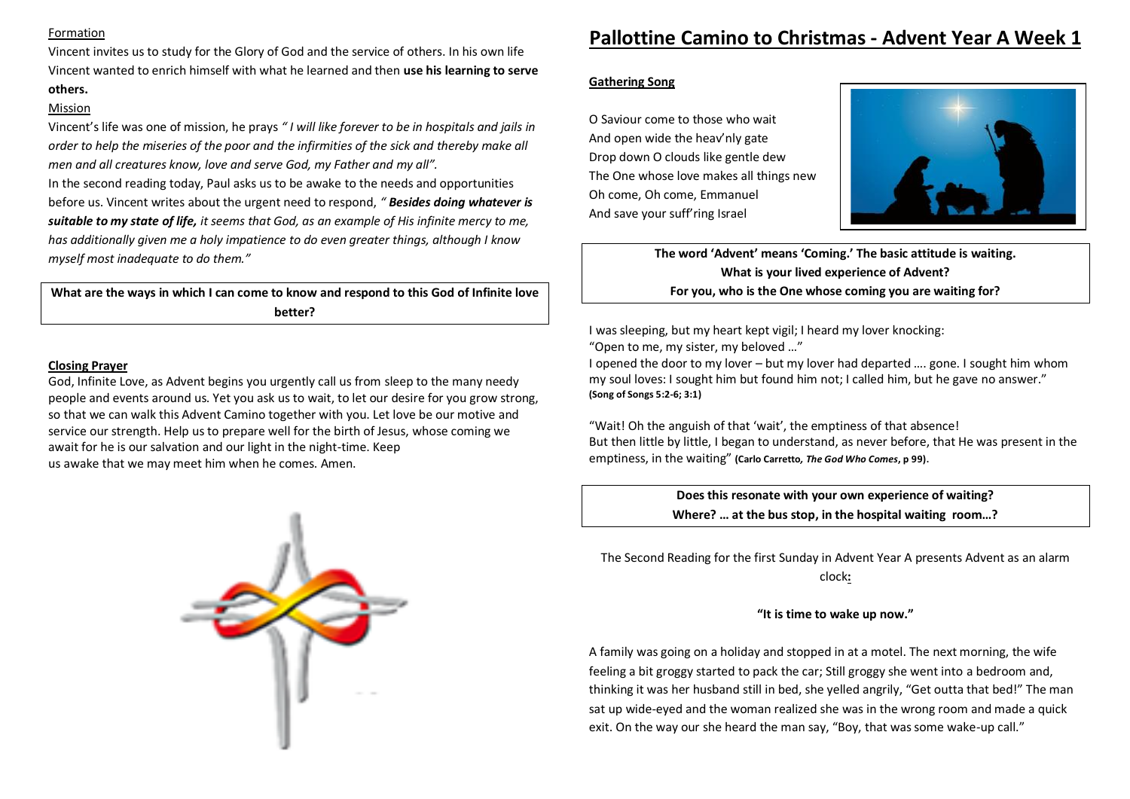## Formation

Vincent invites us to study for the Glory of God and the service of others. In his own life Vincent wanted to enrich himself with what he learned and then **use his learning to serve others.**

# Mission

Vincent's life was one of mission, he prays *" I will like forever to be in hospitals and jails in order to help the miseries of the poor and the infirmities of the sick and thereby make all men and all creatures know, love and serve God, my Father and my all".*

In the second reading today, Paul asks us to be awake to the needs and opportunities before us. Vincent writes about the urgent need to respond, *" Besides doing whatever is suitable to my state of life, it seems that God, as an example of His infinite mercy to me, has additionally given me a holy impatience to do even greater things, although I know myself most inadequate to do them."*

**What are the ways in which I can come to know and respond to this God of Infinite love better?**

## **Closing Prayer**

God, Infinite Love, as Advent begins you urgently call us from sleep to the many needy people and events around us. Yet you ask us to wait, to let our desire for you grow strong, so that we can walk this Advent Camino together with you. Let love be our motive and service our strength. Help us to prepare well for the birth of Jesus, whose coming we await for he is our salvation and our light in the night-time. Keep us awake that we may meet him when he comes. Amen.



# **Pallottine Camino to Christmas - Advent Year A Week 1**

## **Gathering Song**

O Saviour come to those who wait And open wide the heav'nly gate Drop down O clouds like gentle dew The One whose love makes all things new Oh come, Oh come, Emmanuel And save your suff'ring Israel



**The word 'Advent' means 'Coming.' The basic attitude is waiting. What is your lived experience of Advent? For you, who is the One whose coming you are waiting for?**

I was sleeping, but my heart kept vigil; I heard my lover knocking: "Open to me, my sister, my beloved …"

I opened the door to my lover – but my lover had departed …. gone. I sought him whom my soul loves: I sought him but found him not; I called him, but he gave no answer." **(Song of Songs 5:2-6; 3:1)**

"Wait! Oh the anguish of that 'wait', the emptiness of that absence! But then little by little, I began to understand, as never before, that He was present in the emptiness, in the waiting" **(Carlo Carretto***, The God Who Comes***, p 99)**.

> **Does this resonate with your own experience of waiting? Where? … at the bus stop, in the hospital waiting room…?**

The Second Reading for the first Sunday in Advent Year A presents Advent as an alarm clock**:**

## **"It is time to wake up now."**

A family was going on a holiday and stopped in at a motel. The next morning, the wife feeling a bit groggy started to pack the car; Still groggy she went into a bedroom and, thinking it was her husband still in bed, she yelled angrily, "Get outta that bed!" The man sat up wide-eyed and the woman realized she was in the wrong room and made a quick exit. On the way our she heard the man say, "Boy, that was some wake-up call."